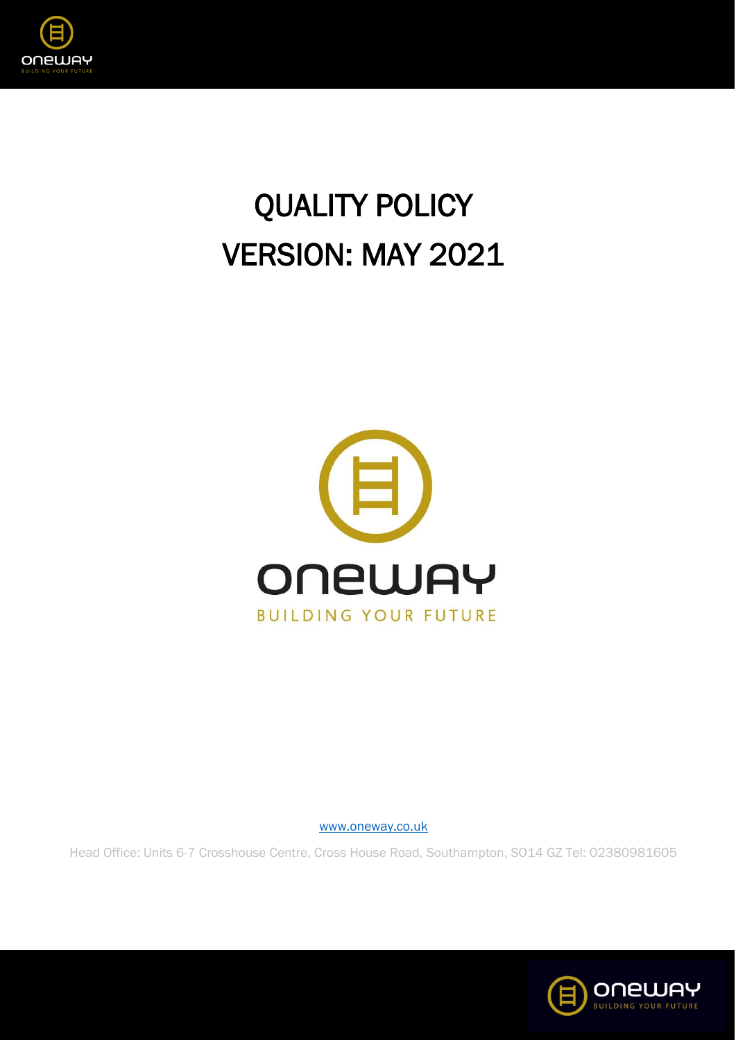

## QUALITY POLICY VERSION: MAY 2021



[www.oneway.co.uk](http://www.oneway.co.uk/)

Head Office: Units 6-7 Crosshouse Centre, Cross House Road, Southampton, SO14 GZ Tel: 02380981605